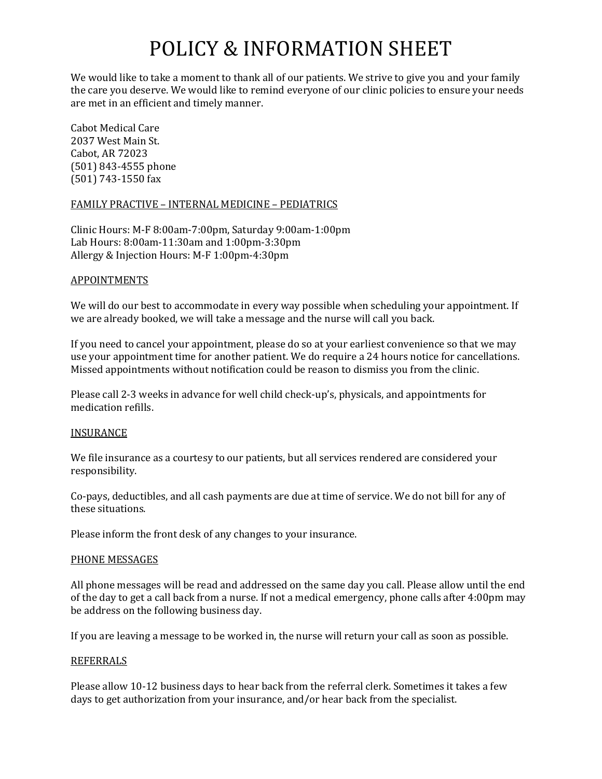# POLICY & INFORMATION SHEET

We would like to take a moment to thank all of our patients. We strive to give you and your family the care you deserve. We would like to remind everyone of our clinic policies to ensure your needs are met in an efficient and timely manner.

Cabot Medical Care 2037 West Main St. Cabot, AR 72023 (501) 843-4555 phone (501) 743-1550 fax

## FAMILY PRACTIVE – INTERNAL MEDICINE – PEDIATRICS

Clinic Hours: M-F 8:00am-7:00pm, Saturday 9:00am-1:00pm Lab Hours: 8:00am-11:30am and 1:00pm-3:30pm Allergy & Injection Hours: M-F 1:00pm-4:30pm

## APPOINTMENTS

We will do our best to accommodate in every way possible when scheduling your appointment. If we are already booked, we will take a message and the nurse will call you back.

If you need to cancel your appointment, please do so at your earliest convenience so that we may use your appointment time for another patient. We do require a 24 hours notice for cancellations. Missed appointments without notification could be reason to dismiss you from the clinic.

Please call 2-3 weeks in advance for well child check-up's, physicals, and appointments for medication refills.

## INSURANCE

We file insurance as a courtesy to our patients, but all services rendered are considered your responsibility.

Co-pays, deductibles, and all cash payments are due at time of service. We do not bill for any of these situations.

Please inform the front desk of any changes to your insurance.

### PHONE MESSAGES

All phone messages will be read and addressed on the same day you call. Please allow until the end of the day to get a call back from a nurse. If not a medical emergency, phone calls after 4:00pm may be address on the following business day.

If you are leaving a message to be worked in, the nurse will return your call as soon as possible.

### REFERRALS

Please allow 10-12 business days to hear back from the referral clerk. Sometimes it takes a few days to get authorization from your insurance, and/or hear back from the specialist.